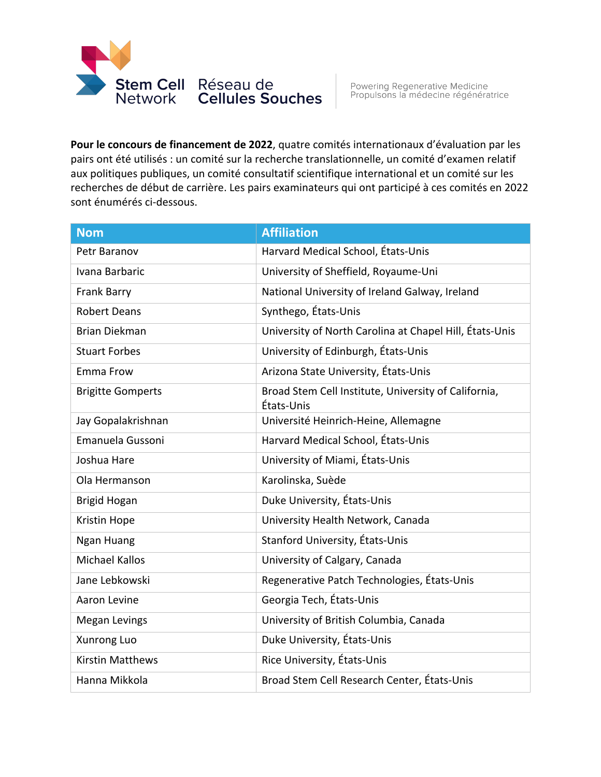

**Pour le concours de financement de 2022**, quatre comités internationaux d'évaluation par les pairs ont été utilisés : un comité sur la recherche translationnelle, un comité d'examen relatif aux politiques publiques, un comité consultatif scientifique international et un comité sur les recherches de début de carrière. Les pairs examinateurs qui ont participé à ces comités en 2022 sont énumérés ci-dessous.

| <b>Nom</b>               | <b>Affiliation</b>                                                 |
|--------------------------|--------------------------------------------------------------------|
| Petr Baranov             | Harvard Medical School, États-Unis                                 |
| Ivana Barbaric           | University of Sheffield, Royaume-Uni                               |
| Frank Barry              | National University of Ireland Galway, Ireland                     |
| <b>Robert Deans</b>      | Synthego, États-Unis                                               |
| <b>Brian Diekman</b>     | University of North Carolina at Chapel Hill, États-Unis            |
| <b>Stuart Forbes</b>     | University of Edinburgh, États-Unis                                |
| Emma Frow                | Arizona State University, États-Unis                               |
| <b>Brigitte Gomperts</b> | Broad Stem Cell Institute, University of California,<br>États-Unis |
| Jay Gopalakrishnan       | Université Heinrich-Heine, Allemagne                               |
| Emanuela Gussoni         | Harvard Medical School, États-Unis                                 |
| Joshua Hare              | University of Miami, États-Unis                                    |
| Ola Hermanson            | Karolinska, Suède                                                  |
| <b>Brigid Hogan</b>      | Duke University, États-Unis                                        |
| Kristin Hope             | University Health Network, Canada                                  |
| Ngan Huang               | Stanford University, États-Unis                                    |
| <b>Michael Kallos</b>    | University of Calgary, Canada                                      |
| Jane Lebkowski           | Regenerative Patch Technologies, États-Unis                        |
| Aaron Levine             | Georgia Tech, États-Unis                                           |
| <b>Megan Levings</b>     | University of British Columbia, Canada                             |
| Xunrong Luo              | Duke University, États-Unis                                        |
| <b>Kirstin Matthews</b>  | Rice University, États-Unis                                        |
| Hanna Mikkola            | Broad Stem Cell Research Center, États-Unis                        |